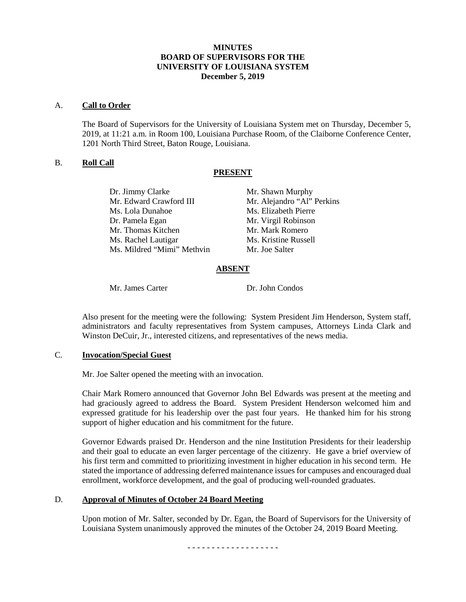# **MINUTES BOARD OF SUPERVISORS FOR THE UNIVERSITY OF LOUISIANA SYSTEM December 5, 2019**

#### A. **Call to Order**

The Board of Supervisors for the University of Louisiana System met on Thursday, December 5, 2019, at 11:21 a.m. in Room 100, Louisiana Purchase Room, of the Claiborne Conference Center, 1201 North Third Street, Baton Rouge, Louisiana.

# B. **Roll Call**

# **PRESENT**

Dr. Jimmy Clarke Mr. Shawn Murphy Mr. Edward Crawford III Mr. Alejandro "Al" Perkins Ms. Lola Dunahoe Ms. Elizabeth Pierre Dr. Pamela Egan Mr. Virgil Robinson<br>Mr. Thomas Kitchen Mr. Mark Romero Mr. Thomas Kitchen Ms. Rachel Lautigar Ms. Kristine Russell Ms. Mildred "Mimi" Methvin Mr. Joe Salter

# **ABSENT**

Mr. James Carter Dr. John Condos

Also present for the meeting were the following: System President Jim Henderson, System staff, administrators and faculty representatives from System campuses, Attorneys Linda Clark and Winston DeCuir, Jr., interested citizens, and representatives of the news media.

# C. **Invocation/Special Guest**

Mr. Joe Salter opened the meeting with an invocation.

Chair Mark Romero announced that Governor John Bel Edwards was present at the meeting and had graciously agreed to address the Board. System President Henderson welcomed him and expressed gratitude for his leadership over the past four years. He thanked him for his strong support of higher education and his commitment for the future.

Governor Edwards praised Dr. Henderson and the nine Institution Presidents for their leadership and their goal to educate an even larger percentage of the citizenry. He gave a brief overview of his first term and committed to prioritizing investment in higher education in his second term. He stated the importance of addressing deferred maintenance issues for campuses and encouraged dual enrollment, workforce development, and the goal of producing well-rounded graduates.

# D. **Approval of Minutes of October 24 Board Meeting**

Upon motion of Mr. Salter, seconded by Dr. Egan, the Board of Supervisors for the University of Louisiana System unanimously approved the minutes of the October 24, 2019 Board Meeting.

- - - - - - - - - - - - - - - - - - -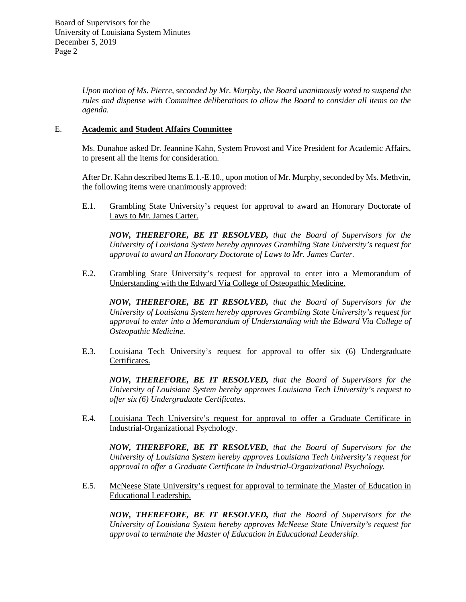*Upon motion of Ms. Pierre, seconded by Mr. Murphy, the Board unanimously voted to suspend the rules and dispense with Committee deliberations to allow the Board to consider all items on the agenda.*

# E. **Academic and Student Affairs Committee**

Ms. Dunahoe asked Dr. Jeannine Kahn, System Provost and Vice President for Academic Affairs, to present all the items for consideration.

After Dr. Kahn described Items E.1.-E.10., upon motion of Mr. Murphy, seconded by Ms. Methvin, the following items were unanimously approved:

E.1. Grambling State University's request for approval to award an Honorary Doctorate of Laws to Mr. James Carter.

*NOW, THEREFORE, BE IT RESOLVED, that the Board of Supervisors for the University of Louisiana System hereby approves Grambling State University's request for approval to award an Honorary Doctorate of Laws to Mr. James Carter.* 

E.2. Grambling State University's request for approval to enter into a Memorandum of Understanding with the Edward Via College of Osteopathic Medicine.

*NOW, THEREFORE, BE IT RESOLVED, that the Board of Supervisors for the University of Louisiana System hereby approves Grambling State University's request for approval to enter into a Memorandum of Understanding with the Edward Via College of Osteopathic Medicine.*

E.3. Louisiana Tech University's request for approval to offer six (6) Undergraduate Certificates.

*NOW, THEREFORE, BE IT RESOLVED, that the Board of Supervisors for the University of Louisiana System hereby approves Louisiana Tech University's request to offer six (6) Undergraduate Certificates.* 

E.4. Louisiana Tech University's request for approval to offer a Graduate Certificate in Industrial-Organizational Psychology.

*NOW, THEREFORE, BE IT RESOLVED, that the Board of Supervisors for the University of Louisiana System hereby approves Louisiana Tech University's request for approval to offer a Graduate Certificate in Industrial-Organizational Psychology.*

E.5. McNeese State University's request for approval to terminate the Master of Education in Educational Leadership.

*NOW, THEREFORE, BE IT RESOLVED, that the Board of Supervisors for the University of Louisiana System hereby approves McNeese State University's request for approval to terminate the Master of Education in Educational Leadership.*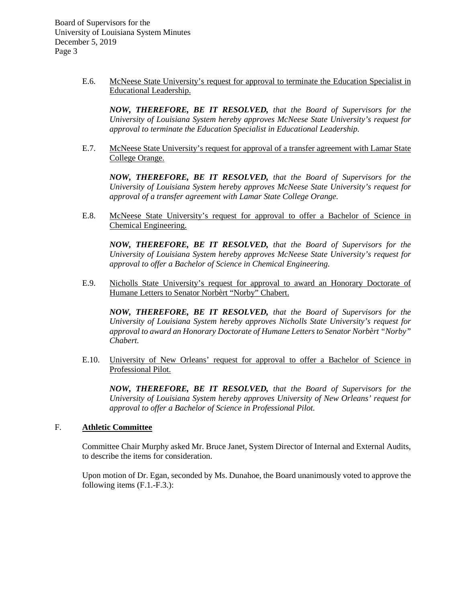> E.6. McNeese State University's request for approval to terminate the Education Specialist in Educational Leadership.

*NOW, THEREFORE, BE IT RESOLVED, that the Board of Supervisors for the University of Louisiana System hereby approves McNeese State University's request for approval to terminate the Education Specialist in Educational Leadership.* 

E.7. McNeese State University's request for approval of a transfer agreement with Lamar State College Orange.

*NOW, THEREFORE, BE IT RESOLVED, that the Board of Supervisors for the University of Louisiana System hereby approves McNeese State University's request for approval of a transfer agreement with Lamar State College Orange.*

E.8. McNeese State University's request for approval to offer a Bachelor of Science in Chemical Engineering.

*NOW, THEREFORE, BE IT RESOLVED, that the Board of Supervisors for the University of Louisiana System hereby approves McNeese State University's request for approval to offer a Bachelor of Science in Chemical Engineering.* 

E.9. Nicholls State University's request for approval to award an Honorary Doctorate of Humane Letters to Senator Norbèrt "Norby" Chabert.

*NOW, THEREFORE, BE IT RESOLVED, that the Board of Supervisors for the University of Louisiana System hereby approves Nicholls State University's request for approval to award an Honorary Doctorate of Humane Letters to Senator Norbèrt "Norby" Chabert.* 

E.10. University of New Orleans' request for approval to offer a Bachelor of Science in Professional Pilot.

*NOW, THEREFORE, BE IT RESOLVED, that the Board of Supervisors for the University of Louisiana System hereby approves University of New Orleans' request for approval to offer a Bachelor of Science in Professional Pilot.*

# F. **Athletic Committee**

Committee Chair Murphy asked Mr. Bruce Janet, System Director of Internal and External Audits, to describe the items for consideration.

Upon motion of Dr. Egan, seconded by Ms. Dunahoe, the Board unanimously voted to approve the following items (F.1.-F.3.):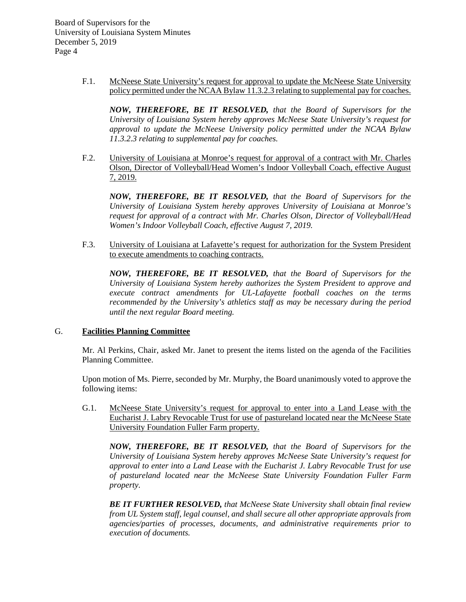> F.1. McNeese State University's request for approval to update the McNeese State University policy permitted under the NCAA Bylaw 11.3.2.3 relating to supplemental pay for coaches.

*NOW, THEREFORE, BE IT RESOLVED, that the Board of Supervisors for the University of Louisiana System hereby approves McNeese State University's request for approval to update the McNeese University policy permitted under the NCAA Bylaw 11.3.2.3 relating to supplemental pay for coaches.*

F.2. University of Louisiana at Monroe's request for approval of a contract with Mr. Charles Olson, Director of Volleyball/Head Women's Indoor Volleyball Coach, effective August 7, 2019.

*NOW, THEREFORE, BE IT RESOLVED, that the Board of Supervisors for the University of Louisiana System hereby approves University of Louisiana at Monroe's request for approval of a contract with Mr. Charles Olson, Director of Volleyball/Head Women's Indoor Volleyball Coach, effective August 7, 2019.*

F.3. University of Louisiana at Lafayette's request for authorization for the System President to execute amendments to coaching contracts.

*NOW, THEREFORE, BE IT RESOLVED, that the Board of Supervisors for the University of Louisiana System hereby authorizes the System President to approve and execute contract amendments for UL-Lafayette football coaches on the terms recommended by the University's athletics staff as may be necessary during the period until the next regular Board meeting.* 

# G. **Facilities Planning Committee**

Mr. Al Perkins, Chair, asked Mr. Janet to present the items listed on the agenda of the Facilities Planning Committee.

Upon motion of Ms. Pierre, seconded by Mr. Murphy, the Board unanimously voted to approve the following items:

G.1. McNeese State University's request for approval to enter into a Land Lease with the Eucharist J. Labry Revocable Trust for use of pastureland located near the McNeese State University Foundation Fuller Farm property.

*NOW, THEREFORE, BE IT RESOLVED, that the Board of Supervisors for the University of Louisiana System hereby approves McNeese State University's request for approval to enter into a Land Lease with the Eucharist J. Labry Revocable Trust for use of pastureland located near the McNeese State University Foundation Fuller Farm property.* 

*BE IT FURTHER RESOLVED, that McNeese State University shall obtain final review from UL System staff, legal counsel, and shall secure all other appropriate approvals from agencies/parties of processes, documents, and administrative requirements prior to execution of documents.*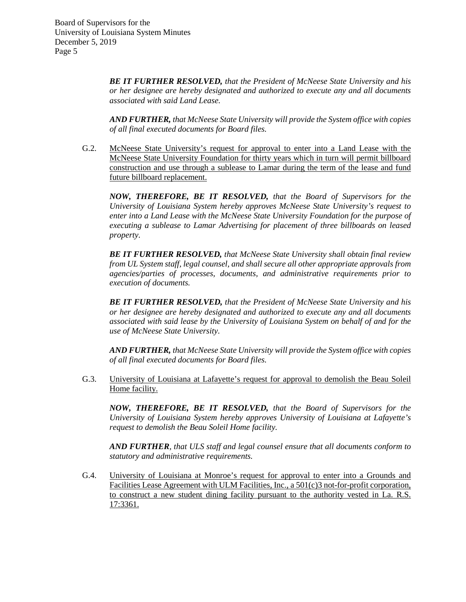> *BE IT FURTHER RESOLVED, that the President of McNeese State University and his or her designee are hereby designated and authorized to execute any and all documents associated with said Land Lease.*

> *AND FURTHER, that McNeese State University will provide the System office with copies of all final executed documents for Board files.*

G.2. McNeese State University's request for approval to enter into a Land Lease with the McNeese State University Foundation for thirty years which in turn will permit billboard construction and use through a sublease to Lamar during the term of the lease and fund future billboard replacement.

*NOW, THEREFORE, BE IT RESOLVED, that the Board of Supervisors for the University of Louisiana System hereby approves McNeese State University's request to enter into a Land Lease with the McNeese State University Foundation for the purpose of executing a sublease to Lamar Advertising for placement of three billboards on leased property.* 

*BE IT FURTHER RESOLVED, that McNeese State University shall obtain final review from UL System staff, legal counsel, and shall secure all other appropriate approvals from agencies/parties of processes, documents, and administrative requirements prior to execution of documents.*

*BE IT FURTHER RESOLVED, that the President of McNeese State University and his or her designee are hereby designated and authorized to execute any and all documents associated with said lease by the University of Louisiana System on behalf of and for the use of McNeese State University.*

*AND FURTHER, that McNeese State University will provide the System office with copies of all final executed documents for Board files.*

G.3. University of Louisiana at Lafayette's request for approval to demolish the Beau Soleil Home facility.

*NOW, THEREFORE, BE IT RESOLVED, that the Board of Supervisors for the University of Louisiana System hereby approves University of Louisiana at Lafayette's request to demolish the Beau Soleil Home facility.* 

*AND FURTHER, that ULS staff and legal counsel ensure that all documents conform to statutory and administrative requirements.*

G.4. University of Louisiana at Monroe's request for approval to enter into a Grounds and Facilities Lease Agreement with ULM Facilities, Inc., a 501(c)3 not-for-profit corporation, to construct a new student dining facility pursuant to the authority vested in La. R.S. 17:3361.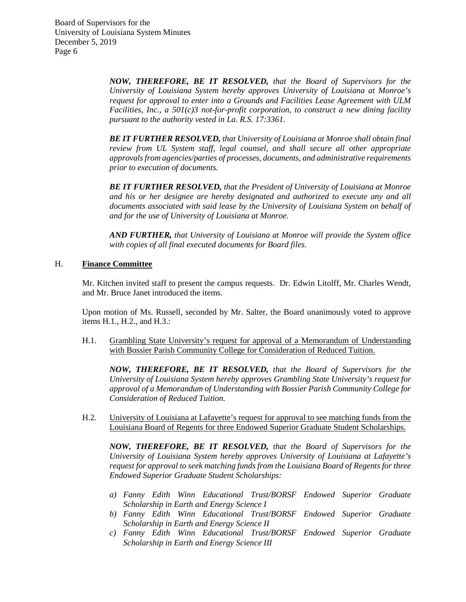> *NOW, THEREFORE, BE IT RESOLVED, that the Board of Supervisors for the University of Louisiana System hereby approves University of Louisiana at Monroe's request for approval to enter into a Grounds and Facilities Lease Agreement with ULM Facilities, Inc., a 501(c)3 not-for-profit corporation, to construct a new dining facility pursuant to the authority vested in La. R.S. 17:3361.*

> *BE IT FURTHER RESOLVED, that University of Louisiana at Monroe shall obtain final review from UL System staff, legal counsel, and shall secure all other appropriate approvals from agencies/parties of processes, documents, and administrative requirements prior to execution of documents.*

> *BE IT FURTHER RESOLVED, that the President of University of Louisiana at Monroe and his or her designee are hereby designated and authorized to execute any and all documents associated with said lease by the University of Louisiana System on behalf of and for the use of University of Louisiana at Monroe.*

> *AND FURTHER, that University of Louisiana at Monroe will provide the System office with copies of all final executed documents for Board files.*

# H. **Finance Committee**

Mr. Kitchen invited staff to present the campus requests. Dr. Edwin Litolff, Mr. Charles Wendt, and Mr. Bruce Janet introduced the items.

Upon motion of Ms. Russell, seconded by Mr. Salter, the Board unanimously voted to approve items H.1., H.2., and H.3.:

H.1. Grambling State University's request for approval of a Memorandum of Understanding with Bossier Parish Community College for Consideration of Reduced Tuition.

*NOW, THEREFORE, BE IT RESOLVED, that the Board of Supervisors for the University of Louisiana System hereby approves Grambling State University's request for approval of a Memorandum of Understanding with Bossier Parish Community College for Consideration of Reduced Tuition.* 

H.2. University of Louisiana at Lafayette's request for approval to see matching funds from the Louisiana Board of Regents for three Endowed Superior Graduate Student Scholarships.

*NOW, THEREFORE, BE IT RESOLVED, that the Board of Supervisors for the University of Louisiana System hereby approves University of Louisiana at Lafayette's request for approval to seek matching funds from the Louisiana Board of Regents for three Endowed Superior Graduate Student Scholarships:* 

- *a) Fanny Edith Winn Educational Trust/BORSF Endowed Superior Graduate Scholarship in Earth and Energy Science I*
- *b) Fanny Edith Winn Educational Trust/BORSF Endowed Superior Graduate Scholarship in Earth and Energy Science II*
- *c) Fanny Edith Winn Educational Trust/BORSF Endowed Superior Graduate Scholarship in Earth and Energy Science III*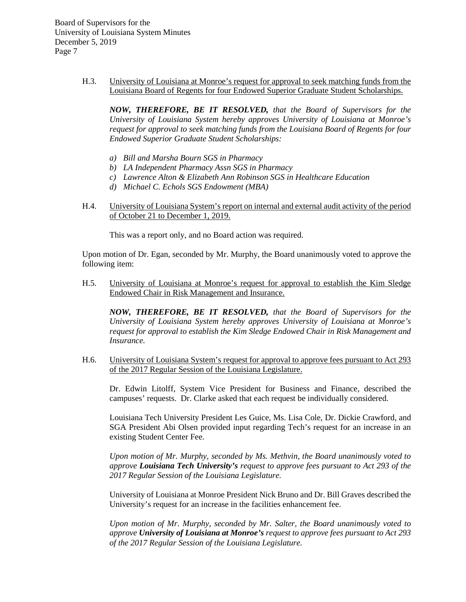> H.3. University of Louisiana at Monroe's request for approval to seek matching funds from the Louisiana Board of Regents for four Endowed Superior Graduate Student Scholarships.

*NOW, THEREFORE, BE IT RESOLVED, that the Board of Supervisors for the University of Louisiana System hereby approves University of Louisiana at Monroe's request for approval to seek matching funds from the Louisiana Board of Regents for four Endowed Superior Graduate Student Scholarships:*

- *a) Bill and Marsha Bourn SGS in Pharmacy*
- *b) LA Independent Pharmacy Assn SGS in Pharmacy*
- *c) Lawrence Alton & Elizabeth Ann Robinson SGS in Healthcare Education*
- *d) Michael C. Echols SGS Endowment (MBA)*
- H.4. University of Louisiana System's report on internal and external audit activity of the period of October 21 to December 1, 2019.

This was a report only, and no Board action was required.

Upon motion of Dr. Egan, seconded by Mr. Murphy, the Board unanimously voted to approve the following item:

H.5. University of Louisiana at Monroe's request for approval to establish the Kim Sledge Endowed Chair in Risk Management and Insurance.

*NOW, THEREFORE, BE IT RESOLVED, that the Board of Supervisors for the University of Louisiana System hereby approves University of Louisiana at Monroe's request for approval to establish the Kim Sledge Endowed Chair in Risk Management and Insurance.*

H.6. University of Louisiana System's request for approval to approve fees pursuant to Act 293 of the 2017 Regular Session of the Louisiana Legislature.

Dr. Edwin Litolff, System Vice President for Business and Finance, described the campuses' requests. Dr. Clarke asked that each request be individually considered.

Louisiana Tech University President Les Guice, Ms. Lisa Cole, Dr. Dickie Crawford, and SGA President Abi Olsen provided input regarding Tech's request for an increase in an existing Student Center Fee.

*Upon motion of Mr. Murphy, seconded by Ms. Methvin, the Board unanimously voted to approve Louisiana Tech University's request to approve fees pursuant to Act 293 of the 2017 Regular Session of the Louisiana Legislature.* 

University of Louisiana at Monroe President Nick Bruno and Dr. Bill Graves described the University's request for an increase in the facilities enhancement fee.

*Upon motion of Mr. Murphy, seconded by Mr. Salter, the Board unanimously voted to approve University of Louisiana at Monroe's request to approve fees pursuant to Act 293 of the 2017 Regular Session of the Louisiana Legislature.*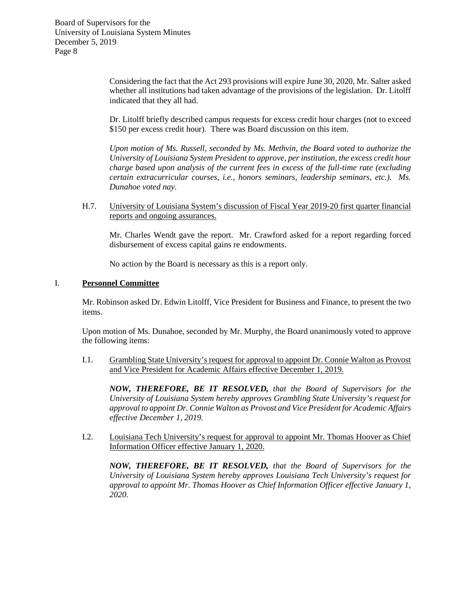> Considering the fact that the Act 293 provisions will expire June 30, 2020, Mr. Salter asked whether all institutions had taken advantage of the provisions of the legislation. Dr. Litolff indicated that they all had.

> Dr. Litolff briefly described campus requests for excess credit hour charges (not to exceed \$150 per excess credit hour). There was Board discussion on this item.

> *Upon motion of Ms. Russell, seconded by Ms. Methvin, the Board voted to authorize the University of Louisiana System President to approve, per institution, the excess credit hour charge based upon analysis of the current fees in excess of the full-time rate (excluding certain extracurricular courses, i.e., honors seminars, leadership seminars, etc.). Ms. Dunahoe voted nay.*

H.7. University of Louisiana System's discussion of Fiscal Year 2019-20 first quarter financial reports and ongoing assurances.

Mr. Charles Wendt gave the report. Mr. Crawford asked for a report regarding forced disbursement of excess capital gains re endowments.

No action by the Board is necessary as this is a report only.

#### I. **Personnel Committee**

Mr. Robinson asked Dr. Edwin Litolff, Vice President for Business and Finance, to present the two items.

Upon motion of Ms. Dunahoe, seconded by Mr. Murphy, the Board unanimously voted to approve the following items:

I.1. Grambling State University's request for approval to appoint Dr. Connie Walton as Provost and Vice President for Academic Affairs effective December 1, 2019.

*NOW, THEREFORE, BE IT RESOLVED, that the Board of Supervisors for the University of Louisiana System hereby approves Grambling State University's request for approval to appoint Dr. Connie Walton as Provost and Vice President for Academic Affairs effective December 1, 2019.*

I.2. Louisiana Tech University's request for approval to appoint Mr. Thomas Hoover as Chief Information Officer effective January 1, 2020.

*NOW, THEREFORE, BE IT RESOLVED, that the Board of Supervisors for the University of Louisiana System hereby approves Louisiana Tech University's request for approval to appoint Mr. Thomas Hoover as Chief Information Officer effective January 1, 2020.*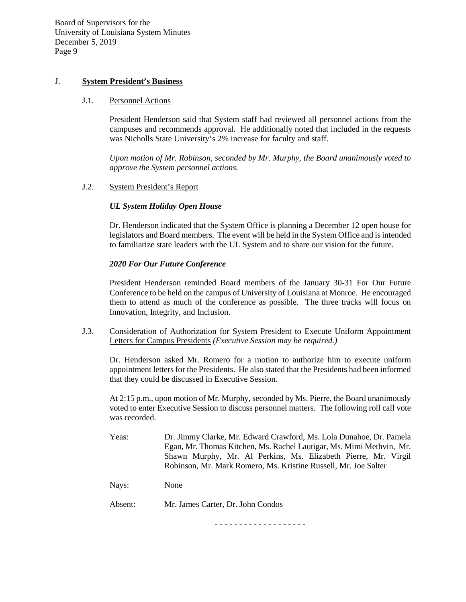### J. **System President's Business**

#### J.1. Personnel Actions

President Henderson said that System staff had reviewed all personnel actions from the campuses and recommends approval. He additionally noted that included in the requests was Nicholls State University's 2% increase for faculty and staff.

*Upon motion of Mr. Robinson, seconded by Mr. Murphy, the Board unanimously voted to approve the System personnel actions.*

#### J.2. System President's Report

#### *UL System Holiday Open House*

Dr. Henderson indicated that the System Office is planning a December 12 open house for legislators and Board members. The event will be held in the System Office and is intended to familiarize state leaders with the UL System and to share our vision for the future.

# *2020 For Our Future Conference*

President Henderson reminded Board members of the January 30-31 For Our Future Conference to be held on the campus of University of Louisiana at Monroe. He encouraged them to attend as much of the conference as possible. The three tracks will focus on Innovation, Integrity, and Inclusion.

J.3. Consideration of Authorization for System President to Execute Uniform Appointment Letters for Campus Presidents *(Executive Session may be required.)*

Dr. Henderson asked Mr. Romero for a motion to authorize him to execute uniform appointment letters for the Presidents. He also stated that the Presidents had been informed that they could be discussed in Executive Session.

At 2:15 p.m., upon motion of Mr. Murphy, seconded by Ms. Pierre, the Board unanimously voted to enter Executive Session to discuss personnel matters. The following roll call vote was recorded.

- Yeas: Dr. Jimmy Clarke, Mr. Edward Crawford, Ms. Lola Dunahoe, Dr. Pamela Egan, Mr. Thomas Kitchen, Ms. Rachel Lautigar, Ms. Mimi Methvin, Mr. Shawn Murphy, Mr. Al Perkins, Ms. Elizabeth Pierre, Mr. Virgil Robinson, Mr. Mark Romero, Ms. Kristine Russell, Mr. Joe Salter
- Nays: None

Absent: Mr. James Carter, Dr. John Condos

- - - - - - - - - - - - - - - - - - -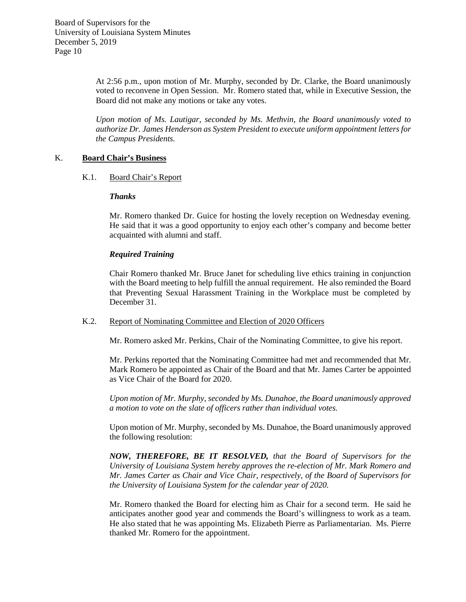> At 2:56 p.m., upon motion of Mr. Murphy, seconded by Dr. Clarke, the Board unanimously voted to reconvene in Open Session. Mr. Romero stated that, while in Executive Session, the Board did not make any motions or take any votes.

> *Upon motion of Ms. Lautigar, seconded by Ms. Methvin, the Board unanimously voted to authorize Dr. James Henderson as System President to execute uniform appointment letters for the Campus Presidents.*

#### K. **Board Chair's Business**

#### K.1. Board Chair's Report

#### *Thanks*

Mr. Romero thanked Dr. Guice for hosting the lovely reception on Wednesday evening. He said that it was a good opportunity to enjoy each other's company and become better acquainted with alumni and staff.

# *Required Training*

Chair Romero thanked Mr. Bruce Janet for scheduling live ethics training in conjunction with the Board meeting to help fulfill the annual requirement. He also reminded the Board that Preventing Sexual Harassment Training in the Workplace must be completed by December 31.

# K.2. Report of Nominating Committee and Election of 2020 Officers

Mr. Romero asked Mr. Perkins, Chair of the Nominating Committee, to give his report.

Mr. Perkins reported that the Nominating Committee had met and recommended that Mr. Mark Romero be appointed as Chair of the Board and that Mr. James Carter be appointed as Vice Chair of the Board for 2020.

*Upon motion of Mr. Murphy, seconded by Ms. Dunahoe, the Board unanimously approved a motion to vote on the slate of officers rather than individual votes.* 

Upon motion of Mr. Murphy, seconded by Ms. Dunahoe, the Board unanimously approved the following resolution:

*NOW, THEREFORE, BE IT RESOLVED, that the Board of Supervisors for the University of Louisiana System hereby approves the re-election of Mr. Mark Romero and Mr. James Carter as Chair and Vice Chair, respectively, of the Board of Supervisors for the University of Louisiana System for the calendar year of 2020.* 

Mr. Romero thanked the Board for electing him as Chair for a second term. He said he anticipates another good year and commends the Board's willingness to work as a team. He also stated that he was appointing Ms. Elizabeth Pierre as Parliamentarian. Ms. Pierre thanked Mr. Romero for the appointment.